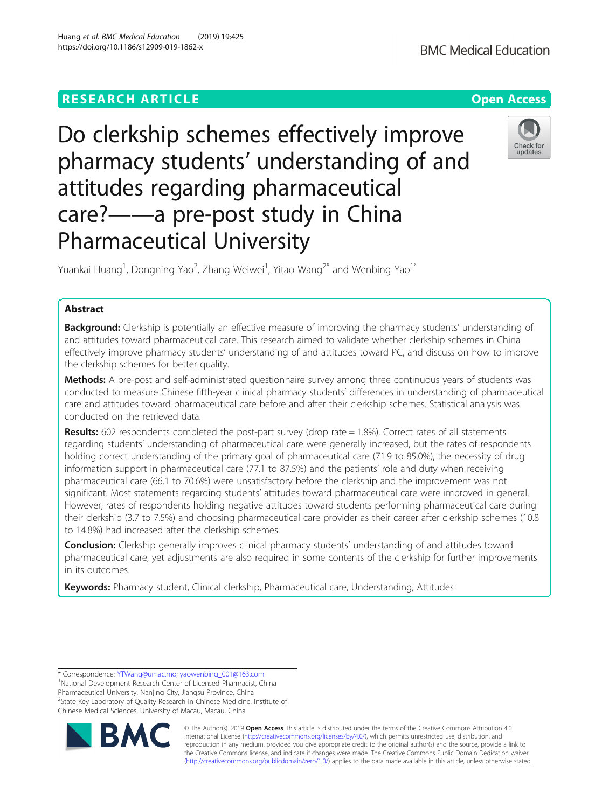# **RESEARCH ARTICLE Example 2014 12:30 The Open Access**

Do clerkship schemes effectively improve pharmacy students' understanding of and attitudes regarding pharmaceutical care?——a pre-post study in China Pharmaceutical University

Yuankai Huang<sup>1</sup>, Dongning Yao<sup>2</sup>, Zhang Weiwei<sup>1</sup>, Yitao Wang<sup>2\*</sup> and Wenbing Yao<sup>1\*</sup>

## Abstract

**Background:** Clerkship is potentially an effective measure of improving the pharmacy students' understanding of and attitudes toward pharmaceutical care. This research aimed to validate whether clerkship schemes in China effectively improve pharmacy students' understanding of and attitudes toward PC, and discuss on how to improve the clerkship schemes for better quality.

Methods: A pre-post and self-administrated questionnaire survey among three continuous years of students was conducted to measure Chinese fifth-year clinical pharmacy students' differences in understanding of pharmaceutical care and attitudes toward pharmaceutical care before and after their clerkship schemes. Statistical analysis was conducted on the retrieved data.

**Results:** 602 respondents completed the post-part survey (drop rate  $= 1.8\%$ ). Correct rates of all statements regarding students' understanding of pharmaceutical care were generally increased, but the rates of respondents holding correct understanding of the primary goal of pharmaceutical care (71.9 to 85.0%), the necessity of drug information support in pharmaceutical care (77.1 to 87.5%) and the patients' role and duty when receiving pharmaceutical care (66.1 to 70.6%) were unsatisfactory before the clerkship and the improvement was not significant. Most statements regarding students' attitudes toward pharmaceutical care were improved in general. However, rates of respondents holding negative attitudes toward students performing pharmaceutical care during their clerkship (3.7 to 7.5%) and choosing pharmaceutical care provider as their career after clerkship schemes (10.8 to 14.8%) had increased after the clerkship schemes.

**Conclusion:** Clerkship generally improves clinical pharmacy students' understanding of and attitudes toward pharmaceutical care, yet adjustments are also required in some contents of the clerkship for further improvements in its outcomes.

Keywords: Pharmacy student, Clinical clerkship, Pharmaceutical care, Understanding, Attitudes

\* Correspondence: [YTWang@umac.mo;](mailto:YTWang@umac.mo) [yaowenbing\\_001@163.com](mailto:yaowenbing_001@163.com) <sup>1</sup>

R,

National Development Research Center of Licensed Pharmacist, China Pharmaceutical University, Nanjing City, Jiangsu Province, China <sup>2</sup>State Key Laboratory of Quality Research in Chinese Medicine, Institute of Chinese Medical Sciences, University of Macau, Macau, China



Huang et al. BMC Medical Education (2019) 19:425 https://doi.org/10.1186/s12909-019-1862-x





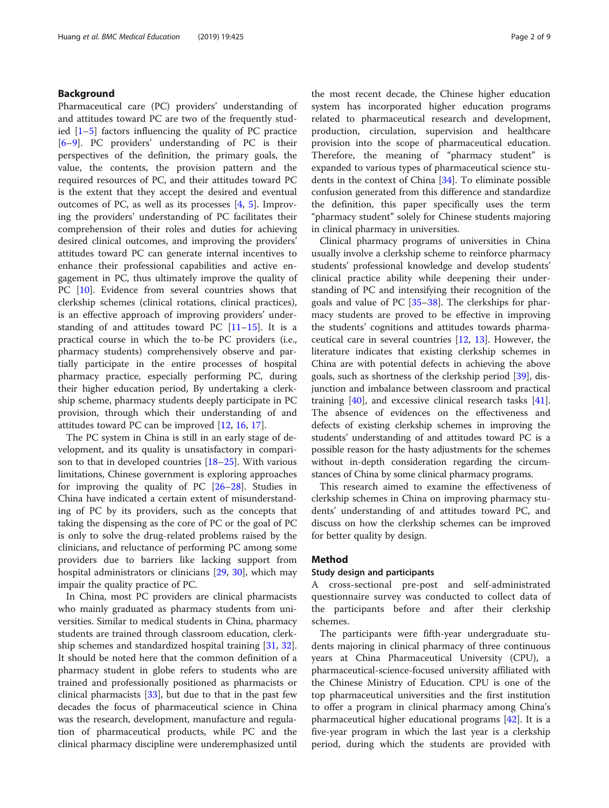## Background

Pharmaceutical care (PC) providers' understanding of and attitudes toward PC are two of the frequently studied  $[1-5]$  $[1-5]$  $[1-5]$  $[1-5]$  factors influencing the quality of PC practice [[6](#page-7-0)–[9\]](#page-7-0). PC providers' understanding of PC is their perspectives of the definition, the primary goals, the value, the contents, the provision pattern and the required resources of PC, and their attitudes toward PC is the extent that they accept the desired and eventual outcomes of PC, as well as its processes  $[4, 5]$  $[4, 5]$  $[4, 5]$ . Improving the providers' understanding of PC facilitates their comprehension of their roles and duties for achieving desired clinical outcomes, and improving the providers' attitudes toward PC can generate internal incentives to enhance their professional capabilities and active engagement in PC, thus ultimately improve the quality of PC [[10\]](#page-7-0). Evidence from several countries shows that clerkship schemes (clinical rotations, clinical practices), is an effective approach of improving providers' understanding of and attitudes toward PC  $[11-15]$  $[11-15]$  $[11-15]$ . It is a practical course in which the to-be PC providers (i.e., pharmacy students) comprehensively observe and partially participate in the entire processes of hospital pharmacy practice, especially performing PC, during their higher education period, By undertaking a clerkship scheme, pharmacy students deeply participate in PC provision, through which their understanding of and attitudes toward PC can be improved [[12,](#page-7-0) [16,](#page-7-0) [17](#page-7-0)].

The PC system in China is still in an early stage of development, and its quality is unsatisfactory in comparison to that in developed countries [\[18](#page-7-0)–[25\]](#page-7-0). With various limitations, Chinese government is exploring approaches for improving the quality of PC [\[26](#page-7-0)–[28\]](#page-7-0). Studies in China have indicated a certain extent of misunderstanding of PC by its providers, such as the concepts that taking the dispensing as the core of PC or the goal of PC is only to solve the drug-related problems raised by the clinicians, and reluctance of performing PC among some providers due to barriers like lacking support from hospital administrators or clinicians [[29](#page-7-0), [30\]](#page-7-0), which may impair the quality practice of PC.

In China, most PC providers are clinical pharmacists who mainly graduated as pharmacy students from universities. Similar to medical students in China, pharmacy students are trained through classroom education, clerkship schemes and standardized hospital training [\[31](#page-7-0), [32](#page-7-0)]. It should be noted here that the common definition of a pharmacy student in globe refers to students who are trained and professionally positioned as pharmacists or clinical pharmacists [\[33](#page-7-0)], but due to that in the past few decades the focus of pharmaceutical science in China was the research, development, manufacture and regulation of pharmaceutical products, while PC and the clinical pharmacy discipline were underemphasized until

the most recent decade, the Chinese higher education system has incorporated higher education programs related to pharmaceutical research and development, production, circulation, supervision and healthcare provision into the scope of pharmaceutical education. Therefore, the meaning of "pharmacy student" is expanded to various types of pharmaceutical science students in the context of China [\[34](#page-7-0)]. To eliminate possible confusion generated from this difference and standardize the definition, this paper specifically uses the term "pharmacy student" solely for Chinese students majoring in clinical pharmacy in universities.

Clinical pharmacy programs of universities in China usually involve a clerkship scheme to reinforce pharmacy students' professional knowledge and develop students' clinical practice ability while deepening their understanding of PC and intensifying their recognition of the goals and value of PC [[35](#page-7-0)–[38](#page-8-0)]. The clerkships for pharmacy students are proved to be effective in improving the students' cognitions and attitudes towards pharmaceutical care in several countries [\[12](#page-7-0), [13](#page-7-0)]. However, the literature indicates that existing clerkship schemes in China are with potential defects in achieving the above goals, such as shortness of the clerkship period [\[39\]](#page-8-0), disjunction and imbalance between classroom and practical training [\[40\]](#page-8-0), and excessive clinical research tasks [\[41](#page-8-0)]. The absence of evidences on the effectiveness and defects of existing clerkship schemes in improving the students' understanding of and attitudes toward PC is a possible reason for the hasty adjustments for the schemes without in-depth consideration regarding the circumstances of China by some clinical pharmacy programs.

This research aimed to examine the effectiveness of clerkship schemes in China on improving pharmacy students' understanding of and attitudes toward PC, and discuss on how the clerkship schemes can be improved for better quality by design.

## Method

## Study design and participants

A cross-sectional pre-post and self-administrated questionnaire survey was conducted to collect data of the participants before and after their clerkship schemes.

The participants were fifth-year undergraduate students majoring in clinical pharmacy of three continuous years at China Pharmaceutical University (CPU), a pharmaceutical-science-focused university affiliated with the Chinese Ministry of Education. CPU is one of the top pharmaceutical universities and the first institution to offer a program in clinical pharmacy among China's pharmaceutical higher educational programs [[42\]](#page-8-0). It is a five-year program in which the last year is a clerkship period, during which the students are provided with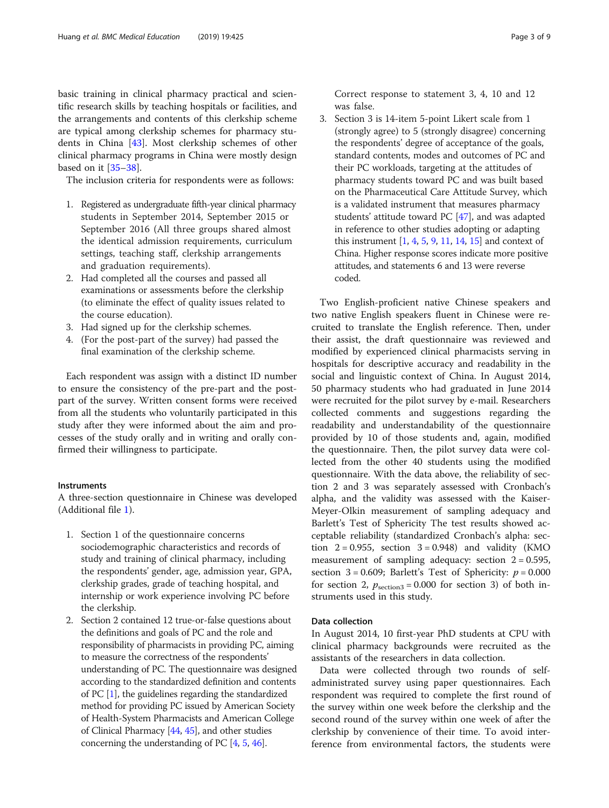basic training in clinical pharmacy practical and scientific research skills by teaching hospitals or facilities, and the arrangements and contents of this clerkship scheme are typical among clerkship schemes for pharmacy students in China [[43\]](#page-8-0). Most clerkship schemes of other clinical pharmacy programs in China were mostly design based on it [[35](#page-7-0)–[38](#page-8-0)].

The inclusion criteria for respondents were as follows:

- 1. Registered as undergraduate fifth-year clinical pharmacy students in September 2014, September 2015 or September 2016 (All three groups shared almost the identical admission requirements, curriculum settings, teaching staff, clerkship arrangements and graduation requirements).
- 2. Had completed all the courses and passed all examinations or assessments before the clerkship (to eliminate the effect of quality issues related to the course education).
- 3. Had signed up for the clerkship schemes.
- 4. (For the post-part of the survey) had passed the final examination of the clerkship scheme.

Each respondent was assign with a distinct ID number to ensure the consistency of the pre-part and the postpart of the survey. Written consent forms were received from all the students who voluntarily participated in this study after they were informed about the aim and processes of the study orally and in writing and orally confirmed their willingness to participate.

## Instruments

A three-section questionnaire in Chinese was developed (Additional file [1](#page-6-0)).

- 1. Section 1 of the questionnaire concerns sociodemographic characteristics and records of study and training of clinical pharmacy, including the respondents' gender, age, admission year, GPA, clerkship grades, grade of teaching hospital, and internship or work experience involving PC before the clerkship.
- 2. Section 2 contained 12 true-or-false questions about the definitions and goals of PC and the role and responsibility of pharmacists in providing PC, aiming to measure the correctness of the respondents' understanding of PC. The questionnaire was designed according to the standardized definition and contents of PC [\[1\]](#page-7-0), the guidelines regarding the standardized method for providing PC issued by American Society of Health-System Pharmacists and American College of Clinical Pharmacy [[44](#page-8-0), [45](#page-8-0)], and other studies concerning the understanding of PC [[4](#page-7-0), [5,](#page-7-0) [46](#page-8-0)].

3. Section 3 is 14-item 5-point Likert scale from 1 (strongly agree) to 5 (strongly disagree) concerning the respondents' degree of acceptance of the goals, standard contents, modes and outcomes of PC and their PC workloads, targeting at the attitudes of pharmacy students toward PC and was built based on the Pharmaceutical Care Attitude Survey, which is a validated instrument that measures pharmacy students' attitude toward PC [[47](#page-8-0)], and was adapted in reference to other studies adopting or adapting this instrument  $[1, 4, 5, 9, 11, 14, 15]$  $[1, 4, 5, 9, 11, 14, 15]$  $[1, 4, 5, 9, 11, 14, 15]$  $[1, 4, 5, 9, 11, 14, 15]$  $[1, 4, 5, 9, 11, 14, 15]$  $[1, 4, 5, 9, 11, 14, 15]$  $[1, 4, 5, 9, 11, 14, 15]$  $[1, 4, 5, 9, 11, 14, 15]$  $[1, 4, 5, 9, 11, 14, 15]$  $[1, 4, 5, 9, 11, 14, 15]$  $[1, 4, 5, 9, 11, 14, 15]$  $[1, 4, 5, 9, 11, 14, 15]$  $[1, 4, 5, 9, 11, 14, 15]$  and context of China. Higher response scores indicate more positive attitudes, and statements 6 and 13 were reverse coded.

Two English-proficient native Chinese speakers and two native English speakers fluent in Chinese were recruited to translate the English reference. Then, under their assist, the draft questionnaire was reviewed and modified by experienced clinical pharmacists serving in hospitals for descriptive accuracy and readability in the social and linguistic context of China. In August 2014, 50 pharmacy students who had graduated in June 2014 were recruited for the pilot survey by e-mail. Researchers collected comments and suggestions regarding the readability and understandability of the questionnaire provided by 10 of those students and, again, modified the questionnaire. Then, the pilot survey data were collected from the other 40 students using the modified questionnaire. With the data above, the reliability of section 2 and 3 was separately assessed with Cronbach's alpha, and the validity was assessed with the Kaiser-Meyer-Olkin measurement of sampling adequacy and Barlett's Test of Sphericity The test results showed acceptable reliability (standardized Cronbach's alpha: section  $2 = 0.955$ , section  $3 = 0.948$ ) and validity (KMO measurement of sampling adequacy: section  $2 = 0.595$ , section 3 = 0.609; Barlett's Test of Sphericity:  $p = 0.000$ for section 2,  $p_{\text{section3}} = 0.000$  for section 3) of both instruments used in this study.

## Data collection

In August 2014, 10 first-year PhD students at CPU with clinical pharmacy backgrounds were recruited as the assistants of the researchers in data collection.

Data were collected through two rounds of selfadministrated survey using paper questionnaires. Each respondent was required to complete the first round of the survey within one week before the clerkship and the second round of the survey within one week of after the clerkship by convenience of their time. To avoid interference from environmental factors, the students were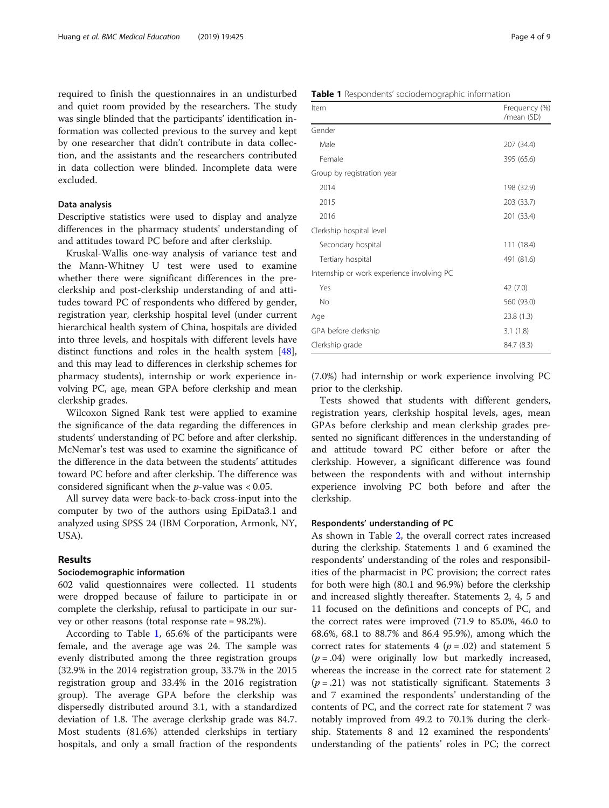required to finish the questionnaires in an undisturbed and quiet room provided by the researchers. The study was single blinded that the participants' identification information was collected previous to the survey and kept by one researcher that didn't contribute in data collection, and the assistants and the researchers contributed in data collection were blinded. Incomplete data were excluded.

## Data analysis

Descriptive statistics were used to display and analyze differences in the pharmacy students' understanding of and attitudes toward PC before and after clerkship.

Kruskal-Wallis one-way analysis of variance test and the Mann-Whitney U test were used to examine whether there were significant differences in the preclerkship and post-clerkship understanding of and attitudes toward PC of respondents who differed by gender, registration year, clerkship hospital level (under current hierarchical health system of China, hospitals are divided into three levels, and hospitals with different levels have distinct functions and roles in the health system [\[48](#page-8-0)], and this may lead to differences in clerkship schemes for pharmacy students), internship or work experience involving PC, age, mean GPA before clerkship and mean clerkship grades.

Wilcoxon Signed Rank test were applied to examine the significance of the data regarding the differences in students' understanding of PC before and after clerkship. McNemar's test was used to examine the significance of the difference in the data between the students' attitudes toward PC before and after clerkship. The difference was considered significant when the  $p$ -value was < 0.05.

All survey data were back-to-back cross-input into the computer by two of the authors using EpiData3.1 and analyzed using SPSS 24 (IBM Corporation, Armonk, NY, USA).

## Results

#### Sociodemographic information

602 valid questionnaires were collected. 11 students were dropped because of failure to participate in or complete the clerkship, refusal to participate in our survey or other reasons (total response rate = 98.2%).

According to Table 1, 65.6% of the participants were female, and the average age was 24. The sample was evenly distributed among the three registration groups (32.9% in the 2014 registration group, 33.7% in the 2015 registration group and 33.4% in the 2016 registration group). The average GPA before the clerkship was dispersedly distributed around 3.1, with a standardized deviation of 1.8. The average clerkship grade was 84.7. Most students (81.6%) attended clerkships in tertiary hospitals, and only a small fraction of the respondents

|  | <b>Table 1</b> Respondents' sociodemographic information |  |
|--|----------------------------------------------------------|--|

| Item                                       | Frequency (%)<br>/mean (SD) |
|--------------------------------------------|-----------------------------|
| Gender                                     |                             |
| Male                                       | 207 (34.4)                  |
| Female                                     | 395 (65.6)                  |
| Group by registration year                 |                             |
| 2014                                       | 198 (32.9)                  |
| 2015                                       | 203 (33.7)                  |
| 2016                                       | 201 (33.4)                  |
| Clerkship hospital level                   |                             |
| Secondary hospital                         | 111(18.4)                   |
| Tertiary hospital                          | 491 (81.6)                  |
| Internship or work experience involving PC |                             |
| Yes                                        | 42 (7.0)                    |
| No                                         | 560 (93.0)                  |
| Age                                        | 23.8 (1.3)                  |
| GPA before clerkship                       | 3.1(1.8)                    |
| Clerkship grade                            | 84.7 (8.3)                  |

(7.0%) had internship or work experience involving PC prior to the clerkship.

Tests showed that students with different genders, registration years, clerkship hospital levels, ages, mean GPAs before clerkship and mean clerkship grades presented no significant differences in the understanding of and attitude toward PC either before or after the clerkship. However, a significant difference was found between the respondents with and without internship experience involving PC both before and after the clerkship.

## Respondents' understanding of PC

As shown in Table [2](#page-4-0), the overall correct rates increased during the clerkship. Statements 1 and 6 examined the respondents' understanding of the roles and responsibilities of the pharmacist in PC provision; the correct rates for both were high (80.1 and 96.9%) before the clerkship and increased slightly thereafter. Statements 2, 4, 5 and 11 focused on the definitions and concepts of PC, and the correct rates were improved (71.9 to 85.0%, 46.0 to 68.6%, 68.1 to 88.7% and 86.4 95.9%), among which the correct rates for statements 4 ( $p = .02$ ) and statement 5  $(p=.04)$  were originally low but markedly increased, whereas the increase in the correct rate for statement 2  $(p=.21)$  was not statistically significant. Statements 3 and 7 examined the respondents' understanding of the contents of PC, and the correct rate for statement 7 was notably improved from 49.2 to 70.1% during the clerkship. Statements 8 and 12 examined the respondents' understanding of the patients' roles in PC; the correct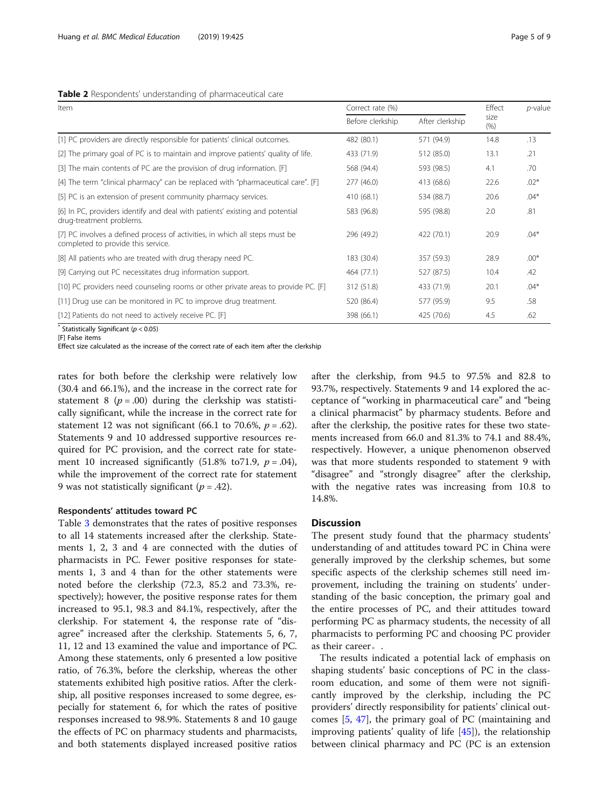## <span id="page-4-0"></span>Table 2 Respondents' understanding of pharmaceutical care

| Item                                                                                                              | Correct rate (%) | Effect          | $p$ -value    |        |
|-------------------------------------------------------------------------------------------------------------------|------------------|-----------------|---------------|--------|
|                                                                                                                   | Before clerkship | After clerkship | size<br>(9/6) |        |
| [1] PC providers are directly responsible for patients' clinical outcomes.                                        | 482 (80.1)       | 571 (94.9)      | 14.8          | .13    |
| [2] The primary goal of PC is to maintain and improve patients' quality of life.                                  | 433 (71.9)       | 512 (85.0)      | 13.1          | .21    |
| [3] The main contents of PC are the provision of drug information. [F]                                            | 568 (94.4)       | 593 (98.5)      | 4.1           | .70    |
| [4] The term "clinical pharmacy" can be replaced with "pharmaceutical care". [F]                                  | 277 (46.0)       | 413 (68.6)      | 22.6          | $.02*$ |
| [5] PC is an extension of present community pharmacy services.                                                    | 410 (68.1)       | 534 (88.7)      | 20.6          | $.04*$ |
| [6] In PC, providers identify and deal with patients' existing and potential<br>drug-treatment problems.          | 583 (96.8)       | 595 (98.8)      | 2.0           | .81    |
| [7] PC involves a defined process of activities, in which all steps must be<br>completed to provide this service. | 296 (49.2)       | 422 (70.1)      | 20.9          | $.04*$ |
| [8] All patients who are treated with drug therapy need PC.                                                       | 183 (30.4)       | 357 (59.3)      | 28.9          | $.00*$ |
| [9] Carrying out PC necessitates drug information support.                                                        | 464 (77.1)       | 527 (87.5)      | 10.4          | .42    |
| [10] PC providers need counseling rooms or other private areas to provide PC. [F]                                 | 312 (51.8)       | 433 (71.9)      | 20.1          | $.04*$ |
| [11] Drug use can be monitored in PC to improve drug treatment.                                                   | 520 (86.4)       | 577 (95.9)      | 9.5           | .58    |
| [12] Patients do not need to actively receive PC. [F]                                                             | 398 (66.1)       | 425 (70.6)      | 4.5           | .62    |

Statistically Significant ( $p < 0.05$ ) [F] False items

Effect size calculated as the increase of the correct rate of each item after the clerkship

rates for both before the clerkship were relatively low (30.4 and 66.1%), and the increase in the correct rate for statement 8 ( $p = .00$ ) during the clerkship was statistically significant, while the increase in the correct rate for statement 12 was not significant (66.1 to 70.6%,  $p = .62$ ). Statements 9 and 10 addressed supportive resources required for PC provision, and the correct rate for statement 10 increased significantly  $(51.8\% \text{ to } 71.9, p = .04)$ , while the improvement of the correct rate for statement 9 was not statistically significant ( $p = .42$ ).

#### Respondents' attitudes toward PC

Table [3](#page-5-0) demonstrates that the rates of positive responses to all 14 statements increased after the clerkship. Statements 1, 2, 3 and 4 are connected with the duties of pharmacists in PC. Fewer positive responses for statements 1, 3 and 4 than for the other statements were noted before the clerkship (72.3, 85.2 and 73.3%, respectively); however, the positive response rates for them increased to 95.1, 98.3 and 84.1%, respectively, after the clerkship. For statement 4, the response rate of "disagree" increased after the clerkship. Statements 5, 6, 7, 11, 12 and 13 examined the value and importance of PC. Among these statements, only 6 presented a low positive ratio, of 76.3%, before the clerkship, whereas the other statements exhibited high positive ratios. After the clerkship, all positive responses increased to some degree, especially for statement 6, for which the rates of positive responses increased to 98.9%. Statements 8 and 10 gauge the effects of PC on pharmacy students and pharmacists, and both statements displayed increased positive ratios

after the clerkship, from 94.5 to 97.5% and 82.8 to 93.7%, respectively. Statements 9 and 14 explored the acceptance of "working in pharmaceutical care" and "being a clinical pharmacist" by pharmacy students. Before and after the clerkship, the positive rates for these two statements increased from 66.0 and 81.3% to 74.1 and 88.4%, respectively. However, a unique phenomenon observed was that more students responded to statement 9 with "disagree" and "strongly disagree" after the clerkship, with the negative rates was increasing from 10.8 to 14.8%.

## **Discussion**

The present study found that the pharmacy students' understanding of and attitudes toward PC in China were generally improved by the clerkship schemes, but some specific aspects of the clerkship schemes still need improvement, including the training on students' understanding of the basic conception, the primary goal and the entire processes of PC, and their attitudes toward performing PC as pharmacy students, the necessity of all pharmacists to performing PC and choosing PC provider as their career。.

The results indicated a potential lack of emphasis on shaping students' basic conceptions of PC in the classroom education, and some of them were not significantly improved by the clerkship, including the PC providers' directly responsibility for patients' clinical outcomes [\[5](#page-7-0), [47](#page-8-0)], the primary goal of PC (maintaining and improving patients' quality of life [\[45](#page-8-0)]), the relationship between clinical pharmacy and PC (PC is an extension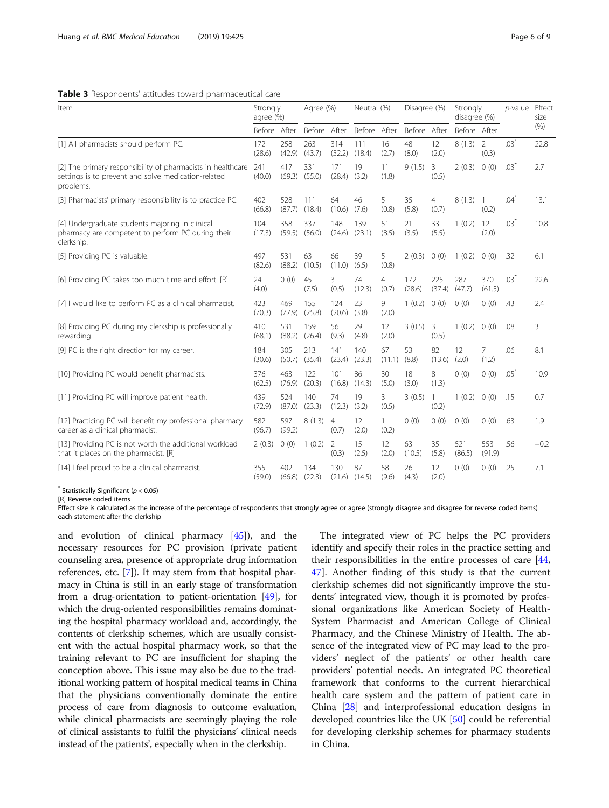## <span id="page-5-0"></span>Table 3 Respondents' attitudes toward pharmaceutical care

| Item                                                                                                                            | Strongly<br>agree (%) |               | Agree (%)     |                         | Neutral (%)   |                         | Disagree (%)  |               | Strongly<br>disagree (%) |                         | p-value Effect  | size   |
|---------------------------------------------------------------------------------------------------------------------------------|-----------------------|---------------|---------------|-------------------------|---------------|-------------------------|---------------|---------------|--------------------------|-------------------------|-----------------|--------|
|                                                                                                                                 |                       | Before After  | Before After  |                         | Before        | After                   | Before After  |               | Before After             |                         |                 | (% )   |
| [1] All pharmacists should perform PC.                                                                                          | 172<br>(28.6)         | 258<br>(42.9) | 263<br>(43.7) | 314<br>(52.2)           | 111<br>(18.4) | 16<br>(2.7)             | 48<br>(8.0)   | 12<br>(2.0)   | 8(1.3)                   | 2<br>(0.3)              | $.03^{*}$       | 22.8   |
| [2] The primary responsibility of pharmacists in healthcare<br>settings is to prevent and solve medication-related<br>problems. |                       | 417<br>(69.3) | 331<br>(55.0) | 171<br>(28.4)           | 19<br>(3.2)   | 11<br>(1.8)             | 9(1.5)        | 3<br>(0.5)    | 2(0.3)                   | 0(0)                    | .03'            | 2.7    |
| [3] Pharmacists' primary responsibility is to practice PC.                                                                      | 402<br>(66.8)         | 528<br>(87.7) | 111<br>(18.4) | 64<br>(10.6)            | 46<br>(7.6)   | 5<br>(0.8)              | 35<br>(5.8)   | 4<br>(0.7)    | 8(1.3)                   | 1<br>(0.2)              | .04             | 13.1   |
| [4] Undergraduate students majoring in clinical<br>pharmacy are competent to perform PC during their<br>clerkship.              |                       | 358<br>(59.5) | 337<br>(56.0) | 148<br>(24.6)           | 139<br>(23.1) | 51<br>(8.5)             | 21<br>(3.5)   | 33<br>(5.5)   | 1(0.2)                   | 12<br>(2.0)             | $.03^{"}$       | 10.8   |
| [5] Providing PC is valuable.                                                                                                   |                       | 531<br>(88.2) | 63<br>(10.5)  | 66<br>(11.0)            | 39<br>(6.5)   | 5<br>(0.8)              | 2(0.3)        | 0(0)          | 1(0.2)                   | 0(0)                    | .32             | 6.1    |
| [6] Providing PC takes too much time and effort. [R]                                                                            |                       | 0(0)          | 45<br>(7.5)   | 3<br>(0.5)              | 74<br>(12.3)  | $\overline{4}$<br>(0.7) | 172<br>(28.6) | 225<br>(37.4) | 287<br>(47.7)            | 370<br>(61.5)           | $.03^{\degree}$ | 22.6   |
| [7] I would like to perform PC as a clinical pharmacist.                                                                        |                       | 469<br>(77.9) | 155<br>(25.8) | 124<br>(20.6)           | 23<br>(3.8)   | 9<br>(2.0)              | 1(0.2)        | 0(0)          | 0(0)                     | 0(0)                    | .43             | 2.4    |
| [8] Providing PC during my clerkship is professionally<br>rewarding.                                                            |                       | 531<br>(88.2) | 159<br>(26.4) | 56<br>(9.3)             | 29<br>(4.8)   | 12<br>(2.0)             | 3(0.5)        | 3<br>(0.5)    | 1(0.2)                   | 0(0)                    | .08             | 3      |
| [9] PC is the right direction for my career.                                                                                    |                       | 305<br>(50.7) | 213<br>(35.4) | 141<br>(23.4)           | 140<br>(23.3) | 67<br>(11.1)            | 53<br>(8.8)   | 82<br>(13.6)  | 12<br>(2.0)              | $\overline{7}$<br>(1.2) | .06             | 8.1    |
| [10] Providing PC would benefit pharmacists.                                                                                    |                       | 463<br>(76.9) | 122<br>(20.3) | 101<br>(16.8)           | 86<br>(14.3)  | 30<br>(5.0)             | 18<br>(3.0)   | 8<br>(1.3)    | 0(0)                     | 0(0)                    | $.05^{\degree}$ | 10.9   |
| [11] Providing PC will improve patient health.                                                                                  |                       | 524<br>(87.0) | 140<br>(23.3) | 74<br>(12.3)            | 19<br>(3.2)   | 3<br>(0.5)              | 3(0.5)        | 1<br>(0.2)    | 1(0.2)                   | 0(0)                    | .15             | 0.7    |
| [12] Practicing PC will benefit my professional pharmacy<br>career as a clinical pharmacist.                                    |                       | 597<br>(99.2) | 8(1.3)        | $\overline{4}$<br>(0.7) | 12<br>(2.0)   | $\mathbf{1}$<br>(0.2)   | 0(0)          | 0(0)          | 0(0)                     | 0(0)                    | .63             | 1.9    |
| [13] Providing PC is not worth the additional workload<br>that it places on the pharmacist. [R]                                 |                       | 0(0)          | 1(0.2)        | 2<br>(0.3)              | 15<br>(2.5)   | 12<br>(2.0)             | 63<br>(10.5)  | 35<br>(5.8)   | 521<br>(86.5)            | 553<br>(91.9)           | .56             | $-0.2$ |
| [14] I feel proud to be a clinical pharmacist.                                                                                  |                       | 402<br>(66.8) | 134<br>(22.3) | 130<br>(21.6)           | 87<br>(14.5)  | 58<br>(9.6)             | 26<br>(4.3)   | 12<br>(2.0)   | 0(0)                     | 0(0)                    | .25             | 7.1    |

Statistically Significant ( $p < 0.05$ ) [R] Reverse coded items

Effect size is calculated as the increase of the percentage of respondents that strongly agree or agree (strongly disagree and disagree for reverse coded items) each statement after the clerkship

and evolution of clinical pharmacy [[45\]](#page-8-0)), and the necessary resources for PC provision (private patient counseling area, presence of appropriate drug information references, etc. [\[7\]](#page-7-0)). It may stem from that hospital pharmacy in China is still in an early stage of transformation from a drug-orientation to patient-orientation [\[49\]](#page-8-0), for which the drug-oriented responsibilities remains dominating the hospital pharmacy workload and, accordingly, the contents of clerkship schemes, which are usually consistent with the actual hospital pharmacy work, so that the training relevant to PC are insufficient for shaping the conception above. This issue may also be due to the traditional working pattern of hospital medical teams in China that the physicians conventionally dominate the entire process of care from diagnosis to outcome evaluation, while clinical pharmacists are seemingly playing the role of clinical assistants to fulfil the physicians' clinical needs instead of the patients', especially when in the clerkship.

The integrated view of PC helps the PC providers identify and specify their roles in the practice setting and their responsibilities in the entire processes of care [[44](#page-8-0), [47\]](#page-8-0). Another finding of this study is that the current clerkship schemes did not significantly improve the students' integrated view, though it is promoted by professional organizations like American Society of Health-System Pharmacist and American College of Clinical Pharmacy, and the Chinese Ministry of Health. The absence of the integrated view of PC may lead to the providers' neglect of the patients' or other health care providers' potential needs. An integrated PC theoretical framework that conforms to the current hierarchical health care system and the pattern of patient care in China [[28](#page-7-0)] and interprofessional education designs in developed countries like the UK [[50\]](#page-8-0) could be referential for developing clerkship schemes for pharmacy students in China.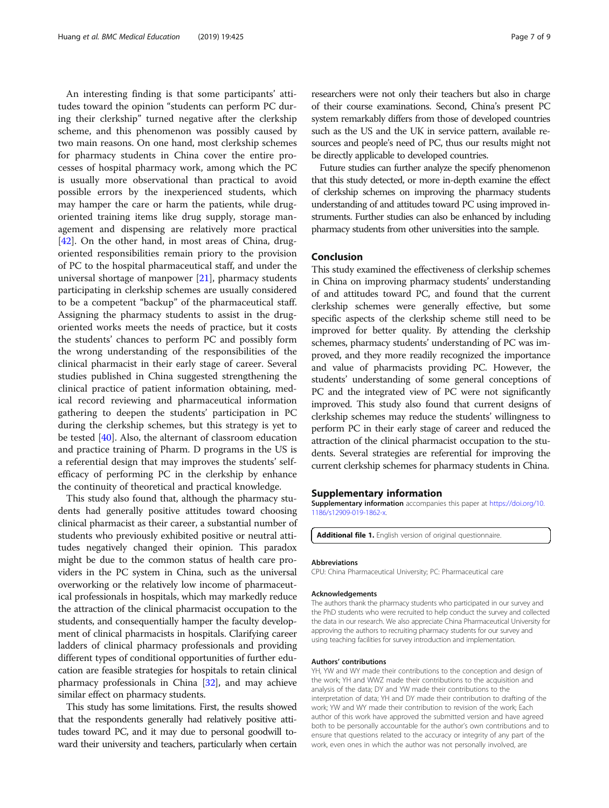<span id="page-6-0"></span>An interesting finding is that some participants' attitudes toward the opinion "students can perform PC during their clerkship" turned negative after the clerkship scheme, and this phenomenon was possibly caused by two main reasons. On one hand, most clerkship schemes for pharmacy students in China cover the entire processes of hospital pharmacy work, among which the PC is usually more observational than practical to avoid possible errors by the inexperienced students, which may hamper the care or harm the patients, while drugoriented training items like drug supply, storage management and dispensing are relatively more practical [[42\]](#page-8-0). On the other hand, in most areas of China, drugoriented responsibilities remain priory to the provision of PC to the hospital pharmaceutical staff, and under the universal shortage of manpower [[21\]](#page-7-0), pharmacy students participating in clerkship schemes are usually considered to be a competent "backup" of the pharmaceutical staff. Assigning the pharmacy students to assist in the drugoriented works meets the needs of practice, but it costs the students' chances to perform PC and possibly form the wrong understanding of the responsibilities of the clinical pharmacist in their early stage of career. Several studies published in China suggested strengthening the clinical practice of patient information obtaining, medical record reviewing and pharmaceutical information gathering to deepen the students' participation in PC during the clerkship schemes, but this strategy is yet to be tested [\[40](#page-8-0)]. Also, the alternant of classroom education and practice training of Pharm. D programs in the US is a referential design that may improves the students' selfefficacy of performing PC in the clerkship by enhance the continuity of theoretical and practical knowledge.

This study also found that, although the pharmacy students had generally positive attitudes toward choosing clinical pharmacist as their career, a substantial number of students who previously exhibited positive or neutral attitudes negatively changed their opinion. This paradox might be due to the common status of health care providers in the PC system in China, such as the universal overworking or the relatively low income of pharmaceutical professionals in hospitals, which may markedly reduce the attraction of the clinical pharmacist occupation to the students, and consequentially hamper the faculty development of clinical pharmacists in hospitals. Clarifying career ladders of clinical pharmacy professionals and providing different types of conditional opportunities of further education are feasible strategies for hospitals to retain clinical pharmacy professionals in China [[32\]](#page-7-0), and may achieve similar effect on pharmacy students.

This study has some limitations. First, the results showed that the respondents generally had relatively positive attitudes toward PC, and it may due to personal goodwill toward their university and teachers, particularly when certain researchers were not only their teachers but also in charge of their course examinations. Second, China's present PC system remarkably differs from those of developed countries such as the US and the UK in service pattern, available resources and people's need of PC, thus our results might not be directly applicable to developed countries.

Future studies can further analyze the specify phenomenon that this study detected, or more in-depth examine the effect of clerkship schemes on improving the pharmacy students understanding of and attitudes toward PC using improved instruments. Further studies can also be enhanced by including pharmacy students from other universities into the sample.

## Conclusion

This study examined the effectiveness of clerkship schemes in China on improving pharmacy students' understanding of and attitudes toward PC, and found that the current clerkship schemes were generally effective, but some specific aspects of the clerkship scheme still need to be improved for better quality. By attending the clerkship schemes, pharmacy students' understanding of PC was improved, and they more readily recognized the importance and value of pharmacists providing PC. However, the students' understanding of some general conceptions of PC and the integrated view of PC were not significantly improved. This study also found that current designs of clerkship schemes may reduce the students' willingness to perform PC in their early stage of career and reduced the attraction of the clinical pharmacist occupation to the students. Several strategies are referential for improving the current clerkship schemes for pharmacy students in China.

#### Supplementary information

Supplementary information accompanies this paper at [https://doi.org/10.](https://doi.org/10.1186/s12909-019-1862-x) [1186/s12909-019-1862-x](https://doi.org/10.1186/s12909-019-1862-x).

Additional file 1. English version of original questionnaire.

#### Abbreviations

CPU: China Pharmaceutical University; PC: Pharmaceutical care

#### Acknowledgements

The authors thank the pharmacy students who participated in our survey and the PhD students who were recruited to help conduct the survey and collected the data in our research. We also appreciate China Pharmaceutical University for approving the authors to recruiting pharmacy students for our survey and using teaching facilities for survey introduction and implementation.

#### Authors' contributions

YH, YW and WY made their contributions to the conception and design of the work; YH and WWZ made their contributions to the acquisition and analysis of the data; DY and YW made their contributions to the interpretation of data; YH and DY made their contribution to drafting of the work; YW and WY made their contribution to revision of the work; Each author of this work have approved the submitted version and have agreed both to be personally accountable for the author's own contributions and to ensure that questions related to the accuracy or integrity of any part of the work, even ones in which the author was not personally involved, are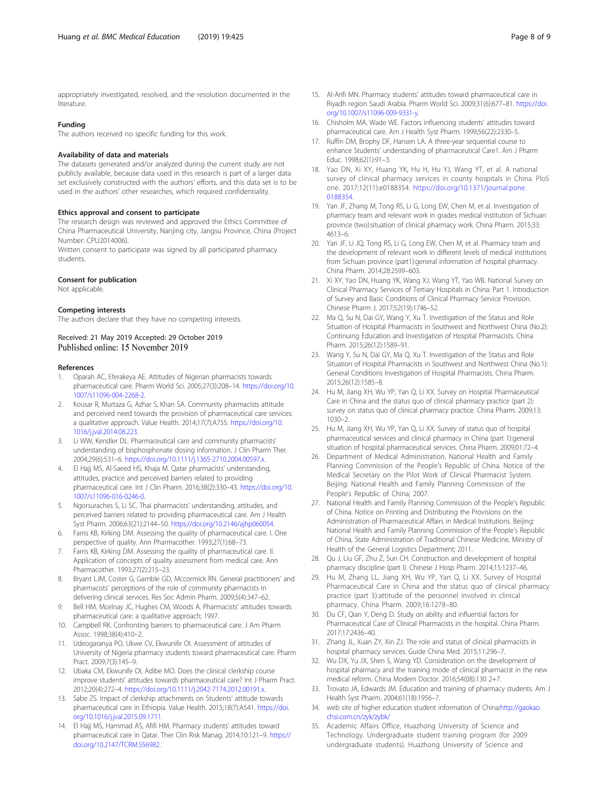<span id="page-7-0"></span>appropriately investigated, resolved, and the resolution documented in the literature.

#### Funding

The authors received no specific funding for this work.

#### Availability of data and materials

The datasets generated and/or analyzed during the current study are not publicly available, because data used in this research is part of a larger data set exclusively constructed with the authors' efforts, and this data set is to be used in the authors' other researches, which required confidentiality.

#### Ethics approval and consent to participate

The research design was reviewed and approved the Ethics Committee of China Pharmaceutical University, Nanjing city, Jangsu Province, China (Project Number: CPU2014006).

Written consent to participate was signed by all participated pharmacy students.

#### Consent for publication

Not applicable.

#### Competing interests

The authors declare that they have no competing interests.

## Received: 21 May 2019 Accepted: 29 October 2019 Published online: 15 November 2019

#### References

- 1. Oparah AC, Eferakeya AE. Attitudes of Nigerian pharmacists towards pharmaceutical care. Pharm World Sci. 2005;27(3):208–14. [https://doi.org/10.](https://doi.org/10.1007/s11096-004-2268-2) [1007/s11096-004-2268-2.](https://doi.org/10.1007/s11096-004-2268-2)
- 2. Kousar R, Murtaza G, Azhar S, Khan SA. Community pharmacists attitude and perceived need towards the provision of pharmaceutical care services: a qualitative approach. Value Health. 2014;17(7):A755. [https://doi.org/10.](https://doi.org/10.1016/j.jval.2014.08.223) [1016/j.jval.2014.08.223](https://doi.org/10.1016/j.jval.2014.08.223).
- 3. Li WW, Kendler DL. Pharmaceutical care and community pharmacists' understanding of bisphosphonate dosing information. J Clin Pharm Ther. 2004;29(6):531–6. [https://doi.org/10.1111/j.1365-2710.2004.00597.x.](https://doi.org/10.1111/j.1365-2710.2004.00597.x)
- 4. El Hajj MS, Al-Saeed HS, Khaja M. Qatar pharmacists' understanding, attitudes, practice and perceived barriers related to providing pharmaceutical care. Int J Clin Pharm. 2016;38(2):330–43. [https://doi.org/10.](https://doi.org/10.1007/s11096-016-0246-0) [1007/s11096-016-0246-0.](https://doi.org/10.1007/s11096-016-0246-0)
- 5. Ngorsuraches S, Li SC. Thai pharmacists' understanding, attitudes, and perceived barriers related to providing pharmaceutical care. Am J Health Syst Pharm. 2006;63(21):2144–50. <https://doi.org/10.2146/ajhp060054>.
- 6. Farris KB, Kirking DM. Assessing the quality of pharmaceutical care. I. One perspective of quality. Ann Pharmacother. 1993;27(1):68–73.
- 7. Farris KB, Kirking DM. Assessing the quality of pharmaceutical care. II. Application of concepts of quality assessment from medical care. Ann Pharmacother. 1993;27(2):215–23.
- 8. Bryant LJM, Coster G, Gamble GD, Mccormick RN. General practitioners' and pharmacists' perceptions of the role of community pharmacists in delivering clinical services. Res Soc Admin Pharm. 2009;5(4):347–62.
- 9. Bell HM, Mcelnay JC, Hughes CM, Woods A. Pharmacists' attitudes towards pharmaceutical care: a qualitative approach; 1997.
- 10. Campbell RK. Confronting barriers to pharmaceutical care. J Am Pharm Assoc. 1998;38(4):410–2.
- 11. Udeogaranya PO, Ukwe CV, Ekwunife OI. Assessment of attitudes of University of Nigeria pharmacy students toward pharmaceutical care. Pharm Pract. 2009;7(3):145–9.
- 12. Ubaka CM, Ekwunife OI, Adibe MO. Does the clinical clerkship course improve students' attitudes towards pharmaceutical care? Int J Pharm Pract. 2012;20(4):272–4. [https://doi.org/10.1111/j.2042-7174.2012.00191.x.](https://doi.org/10.1111/j.2042-7174.2012.00191.x)
- 13. Sabe ZS. Impact of clerkship attachments on Students' attitude towards pharmaceutical care in Ethiopia. Value Health. 2015;18(7):A541. [https://doi.](https://doi.org/10.1016/j.jval.2015.09.1711) [org/10.1016/j.jval.2015.09.1711.](https://doi.org/10.1016/j.jval.2015.09.1711)
- 14. El Hajj MS, Hammad AS, Afifi HM. Pharmacy students' attitudes toward pharmaceutical care in Qatar. Ther Clin Risk Manag. 2014;10:121–9. [https://](https://doi.org/10.2147/TCRM.S56982) [doi.org/10.2147/TCRM.S56982](https://doi.org/10.2147/TCRM.S56982).
- 15. Al-Arifi MN. Pharmacy students' attitudes toward pharmaceutical care in Riyadh region Saudi Arabia. Pharm World Sci. 2009;31(6):677–81. [https://doi.](https://doi.org/10.1007/s11096-009-9331-y) [org/10.1007/s11096-009-9331-y.](https://doi.org/10.1007/s11096-009-9331-y)
- 16. Chisholm MA, Wade WE. Factors influencing students' attitudes toward pharmaceutical care. Am J Health Syst Pharm. 1999;56(22):2330–5.
- 17. Ruffin DM, Brophy DF, Hansen LA. A three-year sequential course to enhance Students' understanding of pharmaceutical Care1. Am J Pharm Educ. 1998;62(1):91–3.
- 18. Yao DN, Xi XY, Huang YK, Hu H, Hu YJ, Wang YT, et al. A national survey of clinical pharmacy services in county hospitals in China. PloS one. 2017;12(11):e0188354. [https://doi.org/10.1371/journal.pone.](https://doi.org/10.1371/journal.pone.0188354) [0188354.](https://doi.org/10.1371/journal.pone.0188354)
- 19. Yan JF, Zhang M, Tong RS, Li G, Long EW, Chen M, et al. Investigation of pharmacy team and relevant work in grades medical institution of Sichuan province (two):situation of clinical pharmacy work. China Pharm. 2015;33: 4613–6.
- 20. Yan JF, Li JQ, Tong RS, Li G, Long EW, Chen M, et al. Pharmacy team and the development of relevant work in different levels of medical institutions from Sichuan province (part1):general information of hospital pharmacy. China Pharm. 2014;28:2599–603.
- 21. Xi XY, Yao DN, Huang YK, Wang XJ, Wang YT, Yao WB. National Survey on Clinical Pharmacy Services of Tertiary Hospitals in China: Part 1. Introduction of Survey and Basic Conditions of Clinical Pharmacy Service Provision. Chinese Pharm J. 2017;52(19):1746–52.
- 22. Ma Q, Su N, Dai GY, Wang Y, Xu T. Investigation of the Status and Role Situation of Hospital Pharmacists in Southwest and Northwest China (No.2): Continuing Education and Investigation of Hospital Pharmacists. China Pharm. 2015;26(12):1589–91.
- 23. Wang Y, Su N, Dai GY, Ma Q, Xu T. Investigation of the Status and Role Situation of Hospital Pharmacists in Southwest and Northwest China (No.1): General Conditions Investigation of Hospital Pharmacists. China Pharm. 2015;26(12):1585–8.
- 24. Hu M, Jiang XH, Wu YP, Yan Q, Li XX. Survey on Hospital Pharmaceutical Care in China and the status quo of clinical pharmacy practice (part 2): survey on status quo of clinical pharmacy practice. China Pharm. 2009;13: 1030–2.
- 25. Hu M, Jiang XH, Wu YP, Yan Q, Li XX. Survey of status quo of hospital pharmaceutical services and clinical pharmacy in China (part 1):general situation of hospital pharmaceutical services. China Pharm. 2009;01:72–4.
- 26. Department of Medical Administration, National Health and Family Planning Commission of the People's Republic of China. Notice of the Medical Secretary on the Pilot Work of Clinical Pharmacist System. Beijing: National Health and Family Planning Commission of the People's Republic of China; 2007.
- 27. National Health and Family Planning Commission of the People's Republic of China. Notice on Printing and Distributing the Provisions on the Administration of Pharmaceutical Affairs in Medical Institutions. Beijing: National Health and Family Planning Commission of the People's Republic of China, State Administration of Traditional Chinese Medicine, Ministry of Health of the General Logistics Department; 2011.
- 28. Qu J, Liu GF, Zhu Z, Sun CH. Construction and development of hospital pharmacy discipline (part I). Chinese J Hosp Pharm. 2014;15:1237–46.
- 29. Hu M, Zhang LL, Jiang XH, Wu YP, Yan Q, Li XX. Survey of Hospital Pharmaceutical Care in China and the status quo of clinical pharmacy practice (part 3):attitude of the personnel involved in clinical pharmacy. China Pharm. 2009;16:1278–80.
- 30. Du CF, Qian Y, Deng D. Study on ability and influential factors for Pharmaceutical Care of Clinical Pharmacists in the hospital. China Pharm. 2017;17:2436–40.
- 31. Zhang JL, Xuan ZY, Xin ZJ. The role and status of clinical pharmacists in hospital pharmacy services. Guide China Med. 2015;11:296–7.
- 32. Wu DX, Yu JX, Shen S, Wang YD. Consideration on the development of hospital pharmacy and the training mode of clinical pharmacist in the new medical reform. China Modern Doctor. 2016;54(08):130 2+7.
- 33. Trovato JA, Edwards JM. Education and training of pharmacy students. Am J Health Syst Pharm. 2004;61(18):1956–7.
- 34. web site of higher education student information of China[:http://gaokao.](http://gaokao.chsi.com.cn/zyk/zybk/) [chsi.com.cn/zyk/zybk/](http://gaokao.chsi.com.cn/zyk/zybk/)
- 35. Academic Affairs Office, Huazhong University of Science and Technology. Undergraduate student training program (for 2009 undergraduate students). Huazhong University of Science and